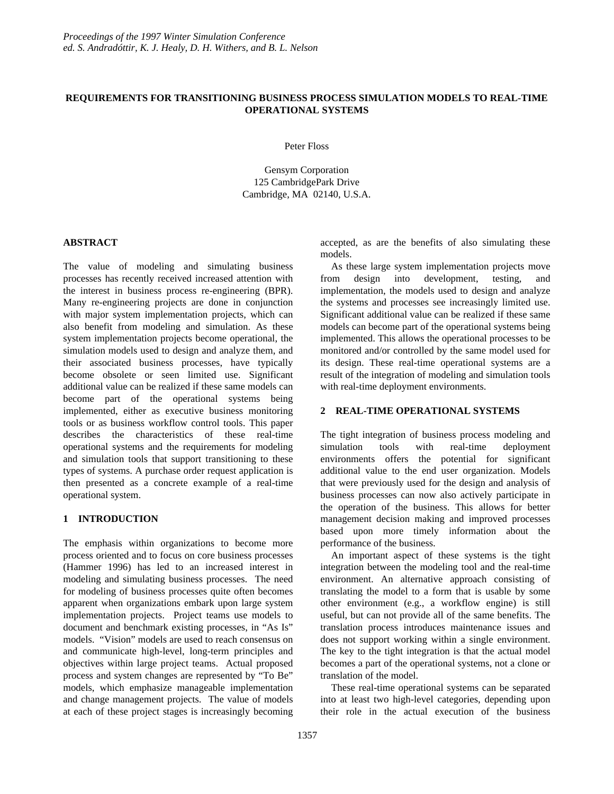# **REQUIREMENTS FOR TRANSITIONING BUSINESS PROCESS SIMULATION MODELS TO REAL-TIME OPERATIONAL SYSTEMS**

Peter Floss

Gensym Corporation 125 CambridgePark Drive Cambridge, MA 02140, U.S.A.

## **ABSTRACT**

The value of modeling and simulating business processes has recently received increased attention with the interest in business process re-engineering (BPR). Many re-engineering projects are done in conjunction with major system implementation projects, which can also benefit from modeling and simulation. As these system implementation projects become operational, the simulation models used to design and analyze them, and their associated business processes, have typically become obsolete or seen limited use. Significant additional value can be realized if these same models can become part of the operational systems being implemented, either as executive business monitoring tools or as business workflow control tools. This paper describes the characteristics of these real-time operational systems and the requirements for modeling and simulation tools that support transitioning to these types of systems. A purchase order request application is then presented as a concrete example of a real-time operational system.

## **1 INTRODUCTION**

The emphasis within organizations to become more process oriented and to focus on core business processes (Hammer 1996) has led to an increased interest in modeling and simulating business processes. The need for modeling of business processes quite often becomes apparent when organizations embark upon large system implementation projects. Project teams use models to document and benchmark existing processes, in "As Is" models. "Vision" models are used to reach consensus on and communicate high-level, long-term principles and objectives within large project teams. Actual proposed process and system changes are represented by "To Be" models, which emphasize manageable implementation and change management projects. The value of models at each of these project stages is increasingly becoming accepted, as are the benefits of also simulating these models.

As these large system implementation projects move from design into development, testing, and implementation, the models used to design and analyze the systems and processes see increasingly limited use. Significant additional value can be realized if these same models can become part of the operational systems being implemented. This allows the operational processes to be monitored and/or controlled by the same model used for its design. These real-time operational systems are a result of the integration of modeling and simulation tools with real-time deployment environments.

# **2 REAL-TIME OPERATIONAL SYSTEMS**

The tight integration of business process modeling and simulation tools with real-time deployment environments offers the potential for significant additional value to the end user organization. Models that were previously used for the design and analysis of business processes can now also actively participate in the operation of the business. This allows for better management decision making and improved processes based upon more timely information about the performance of the business.

An important aspect of these systems is the tight integration between the modeling tool and the real-time environment. An alternative approach consisting of translating the model to a form that is usable by some other environment (e.g., a workflow engine) is still useful, but can not provide all of the same benefits. The translation process introduces maintenance issues and does not support working within a single environment. The key to the tight integration is that the actual model becomes a part of the operational systems, not a clone or translation of the model.

These real-time operational systems can be separated into at least two high-level categories, depending upon their role in the actual execution of the business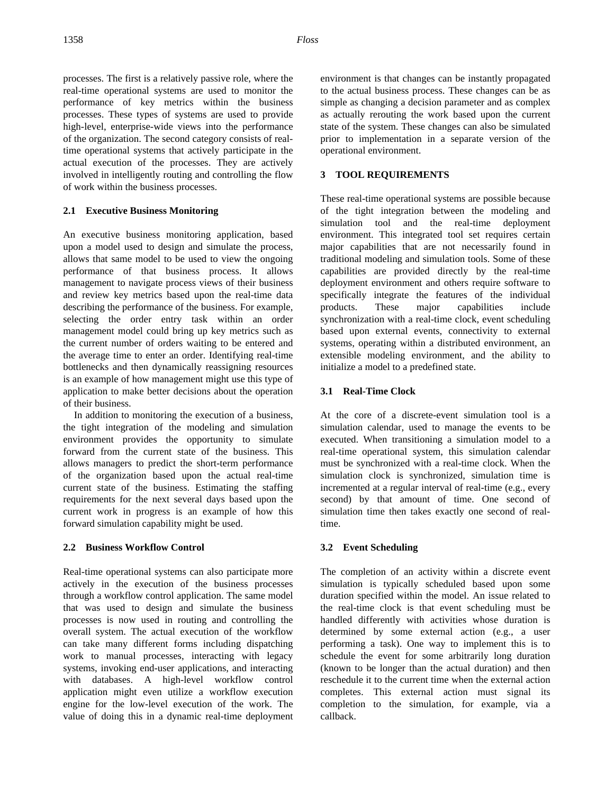processes. The first is a relatively passive role, where the real-time operational systems are used to monitor the performance of key metrics within the business processes. These types of systems are used to provide high-level, enterprise-wide views into the performance of the organization. The second category consists of realtime operational systems that actively participate in the actual execution of the processes. They are actively involved in intelligently routing and controlling the flow of work within the business processes.

### **2.1 Executive Business Monitoring**

An executive business monitoring application, based upon a model used to design and simulate the process, allows that same model to be used to view the ongoing performance of that business process. It allows management to navigate process views of their business and review key metrics based upon the real-time data describing the performance of the business. For example, selecting the order entry task within an order management model could bring up key metrics such as the current number of orders waiting to be entered and the average time to enter an order. Identifying real-time bottlenecks and then dynamically reassigning resources is an example of how management might use this type of application to make better decisions about the operation of their business.

In addition to monitoring the execution of a business, the tight integration of the modeling and simulation environment provides the opportunity to simulate forward from the current state of the business. This allows managers to predict the short-term performance of the organization based upon the actual real-time current state of the business. Estimating the staffing requirements for the next several days based upon the current work in progress is an example of how this forward simulation capability might be used.

### **2.2 Business Workflow Control**

Real-time operational systems can also participate more actively in the execution of the business processes through a workflow control application. The same model that was used to design and simulate the business processes is now used in routing and controlling the overall system. The actual execution of the workflow can take many different forms including dispatching work to manual processes, interacting with legacy systems, invoking end-user applications, and interacting with databases. A high-level workflow control application might even utilize a workflow execution engine for the low-level execution of the work. The value of doing this in a dynamic real-time deployment

### **3 TOOL REQUIREMENTS**

These real-time operational systems are possible because of the tight integration between the modeling and simulation tool and the real-time deployment environment. This integrated tool set requires certain major capabilities that are not necessarily found in traditional modeling and simulation tools. Some of these capabilities are provided directly by the real-time deployment environment and others require software to specifically integrate the features of the individual products. These major capabilities include synchronization with a real-time clock, event scheduling based upon external events, connectivity to external systems, operating within a distributed environment, an extensible modeling environment, and the ability to initialize a model to a predefined state.

## **3.1 Real-Time Clock**

At the core of a discrete-event simulation tool is a simulation calendar, used to manage the events to be executed. When transitioning a simulation model to a real-time operational system, this simulation calendar must be synchronized with a real-time clock. When the simulation clock is synchronized, simulation time is incremented at a regular interval of real-time (e.g., every second) by that amount of time. One second of simulation time then takes exactly one second of realtime.

### **3.2 Event Scheduling**

The completion of an activity within a discrete event simulation is typically scheduled based upon some duration specified within the model. An issue related to the real-time clock is that event scheduling must be handled differently with activities whose duration is determined by some external action (e.g., a user performing a task). One way to implement this is to schedule the event for some arbitrarily long duration (known to be longer than the actual duration) and then reschedule it to the current time when the external action completes. This external action must signal its completion to the simulation, for example, via a callback.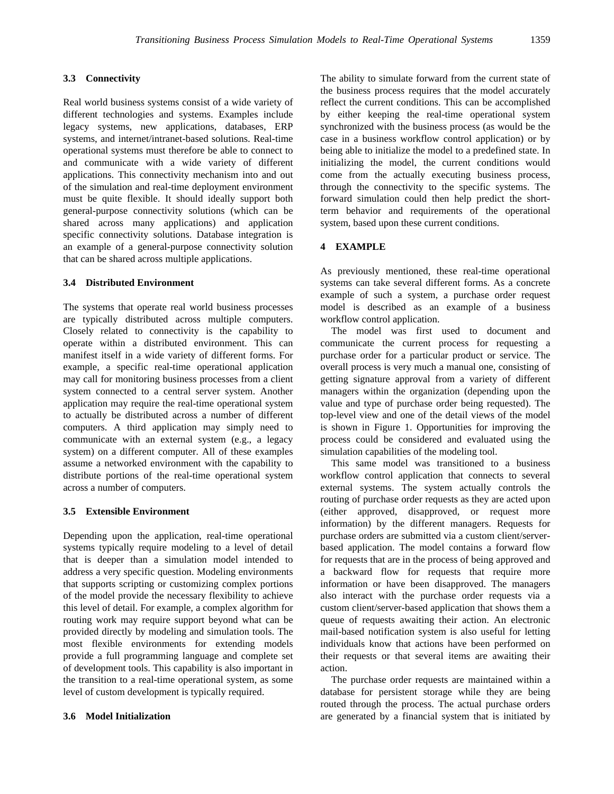### **3.3 Connectivity**

Real world business systems consist of a wide variety of different technologies and systems. Examples include legacy systems, new applications, databases, ERP systems, and internet/intranet-based solutions. Real-time operational systems must therefore be able to connect to and communicate with a wide variety of different applications. This connectivity mechanism into and out of the simulation and real-time deployment environment must be quite flexible. It should ideally support both general-purpose connectivity solutions (which can be shared across many applications) and application specific connectivity solutions. Database integration is an example of a general-purpose connectivity solution that can be shared across multiple applications.

### **3.4 Distributed Environment**

The systems that operate real world business processes are typically distributed across multiple computers. Closely related to connectivity is the capability to operate within a distributed environment. This can manifest itself in a wide variety of different forms. For example, a specific real-time operational application may call for monitoring business processes from a client system connected to a central server system. Another application may require the real-time operational system to actually be distributed across a number of different computers. A third application may simply need to communicate with an external system (e.g., a legacy system) on a different computer. All of these examples assume a networked environment with the capability to distribute portions of the real-time operational system across a number of computers.

## **3.5 Extensible Environment**

Depending upon the application, real-time operational systems typically require modeling to a level of detail that is deeper than a simulation model intended to address a very specific question. Modeling environments that supports scripting or customizing complex portions of the model provide the necessary flexibility to achieve this level of detail. For example, a complex algorithm for routing work may require support beyond what can be provided directly by modeling and simulation tools. The most flexible environments for extending models provide a full programming language and complete set of development tools. This capability is also important in the transition to a real-time operational system, as some level of custom development is typically required.

### **3.6 Model Initialization**

The ability to simulate forward from the current state of the business process requires that the model accurately reflect the current conditions. This can be accomplished by either keeping the real-time operational system synchronized with the business process (as would be the case in a business workflow control application) or by being able to initialize the model to a predefined state. In initializing the model, the current conditions would come from the actually executing business process, through the connectivity to the specific systems. The forward simulation could then help predict the shortterm behavior and requirements of the operational system, based upon these current conditions.

## **4 EXAMPLE**

As previously mentioned, these real-time operational systems can take several different forms. As a concrete example of such a system, a purchase order request model is described as an example of a business workflow control application.

The model was first used to document and communicate the current process for requesting a purchase order for a particular product or service. The overall process is very much a manual one, consisting of getting signature approval from a variety of different managers within the organization (depending upon the value and type of purchase order being requested). The top-level view and one of the detail views of the model is shown in Figure 1. Opportunities for improving the process could be considered and evaluated using the simulation capabilities of the modeling tool.

This same model was transitioned to a business workflow control application that connects to several external systems. The system actually controls the routing of purchase order requests as they are acted upon (either approved, disapproved, or request more information) by the different managers. Requests for purchase orders are submitted via a custom client/serverbased application. The model contains a forward flow for requests that are in the process of being approved and a backward flow for requests that require more information or have been disapproved. The managers also interact with the purchase order requests via a custom client/server-based application that shows them a queue of requests awaiting their action. An electronic mail-based notification system is also useful for letting individuals know that actions have been performed on their requests or that several items are awaiting their action.

The purchase order requests are maintained within a database for persistent storage while they are being routed through the process. The actual purchase orders are generated by a financial system that is initiated by